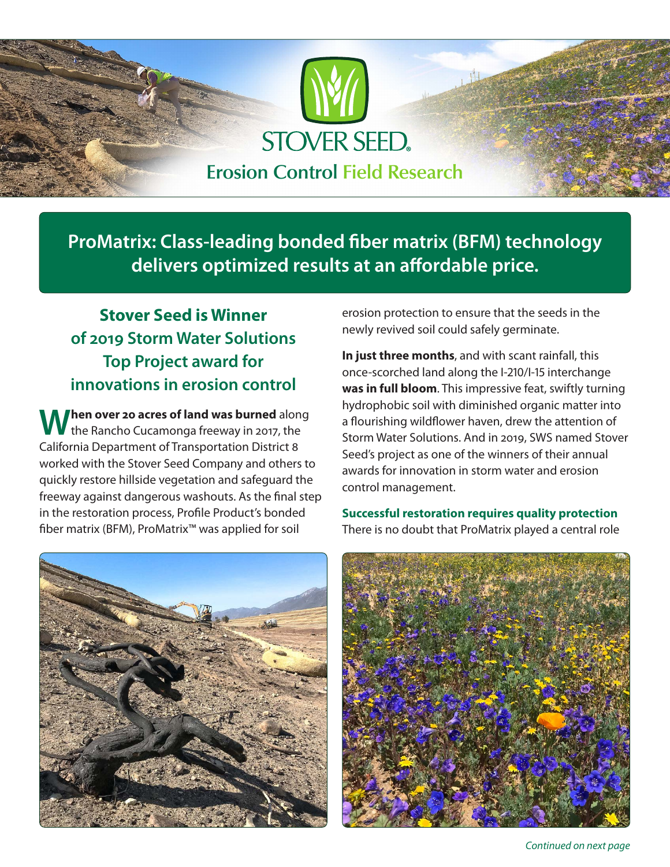

**ProMatrix: Class-leading bonded fiber matrix (BFM) technology delivers optimized results at an affordable price.**

# **Stover Seed is Winner of 2019 Storm Water Solutions Top Project award for innovations in erosion control**

When over 20 acres of land was burned along<br>the Rancho Cucamonga freeway in 2017, the California Department of Transportation District 8 worked with the Stover Seed Company and others to quickly restore hillside vegetation and safeguard the freeway against dangerous washouts. As the final step in the restoration process, Profile Product's bonded fiber matrix (BFM), ProMatrix™ was applied for soil



erosion protection to ensure that the seeds in the newly revived soil could safely germinate.

**In just three months**, and with scant rainfall, this once-scorched land along the I-210/I-15 interchange **was in full bloom**. This impressive feat, swiftly turning hydrophobic soil with diminished organic matter into a flourishing wildflower haven, drew the attention of Storm Water Solutions. And in 2019, SWS named Stover Seed's project as one of the winners of their annual awards for innovation in storm water and erosion control management.

**Successful restoration requires quality protection** There is no doubt that ProMatrix played a central role



*Continued on next page*